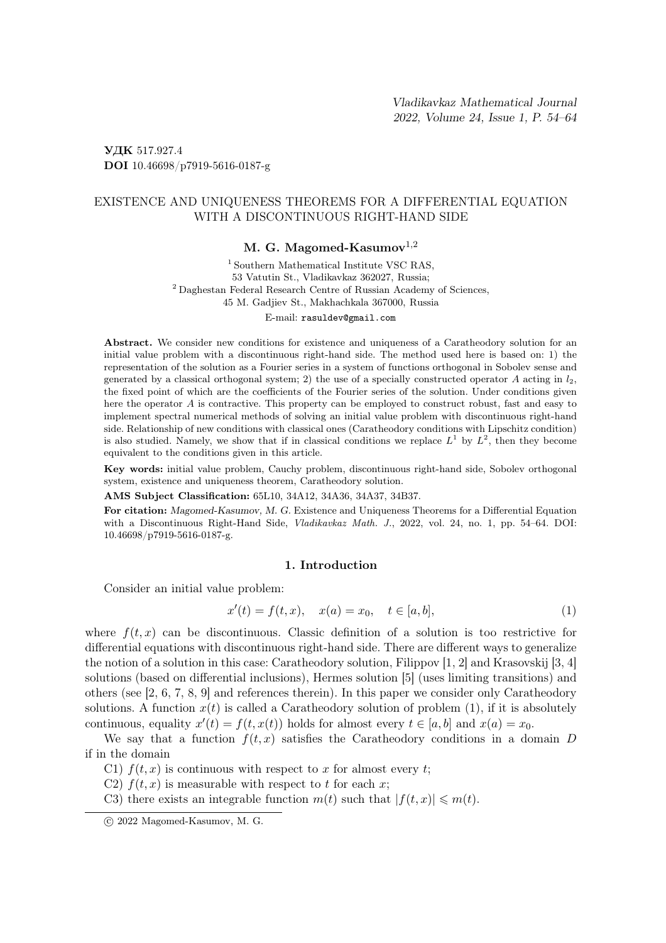УДК 517.927.4 DOI 10.46698/p7919-5616-0187-g

# EXISTENCE AND UNIQUENESS THEOREMS FOR A DIFFERENTIAL EQUATION WITH A DISCONTINUOUS RIGHT-HAND SIDE

## M. G. Magomed-Kasumov $^{1,2}$

1 Southern Mathematical Institute VSC RAS, 53 Vatutin St., Vladikavkaz 362027, Russia; <sup>2</sup> Daghestan Federal Research Centre of Russian Academy of Sciences, 45 M. Gadjiev St., Makhachkala 367000, Russia

E-mail: rasuldev@gmail.com

Abstract. We consider new conditions for existence and uniqueness of a Caratheodory solution for an initial value problem with a discontinuous right-hand side. The method used here is based on: 1) the representation of the solution as a Fourier series in a system of functions orthogonal in Sobolev sense and generated by a classical orthogonal system; 2) the use of a specially constructed operator A acting in  $l_2$ , the fixed point of which are the coefficients of the Fourier series of the solution. Under conditions given here the operator A is contractive. This property can be employed to construct robust, fast and easy to implement spectral numerical methods of solving an initial value problem with discontinuous right-hand side. Relationship of new conditions with classical ones (Caratheodory conditions with Lipschitz condition) is also studied. Namely, we show that if in classical conditions we replace  $L^1$  by  $L^2$ , then they become equivalent to the conditions given in this article.

Key words: initial value problem, Cauchy problem, discontinuous right-hand side, Sobolev orthogonal system, existence and uniqueness theorem, Caratheodory solution.

AMS Subject Classification: 65L10, 34A12, 34A36, 34A37, 34B37.

For citation: Magomed-Kasumov, M. G. Existence and Uniqueness Theorems for a Differential Equation with a Discontinuous Right-Hand Side, Vladikavkaz Math. J., 2022, vol. 24, no. 1, pp. 54–64. DOI: 10.46698/p7919-5616-0187-g.

#### 1. Introduction

Consider an initial value problem:

$$
x'(t) = f(t, x), \quad x(a) = x_0, \quad t \in [a, b], \tag{1}
$$

where  $f(t, x)$  can be discontinuous. Classic definition of a solution is too restrictive for differential equations with discontinuous right-hand side. There are different ways to generalize the notion of a solution in this case: Caratheodory solution, Filippov [1, 2] and Krasovskij [3, 4] solutions (based on differential inclusions), Hermes solution [5] (uses limiting transitions) and others (see [2, 6, 7, 8, 9] and references therein). In this paper we consider only Caratheodory solutions. A function  $x(t)$  is called a Caratheodory solution of problem (1), if it is absolutely continuous, equality  $x'(t) = f(t, x(t))$  holds for almost every  $t \in [a, b]$  and  $x(a) = x_0$ .

We say that a function  $f(t, x)$  satisfies the Caratheodory conditions in a domain D if in the domain

- C1)  $f(t, x)$  is continuous with respect to x for almost every t;
- C2)  $f(t, x)$  is measurable with respect to t for each x;
- C3) there exists an integrable function  $m(t)$  such that  $|f(t, x)| \leq m(t)$ .

c 2022 Magomed-Kasumov, M. G.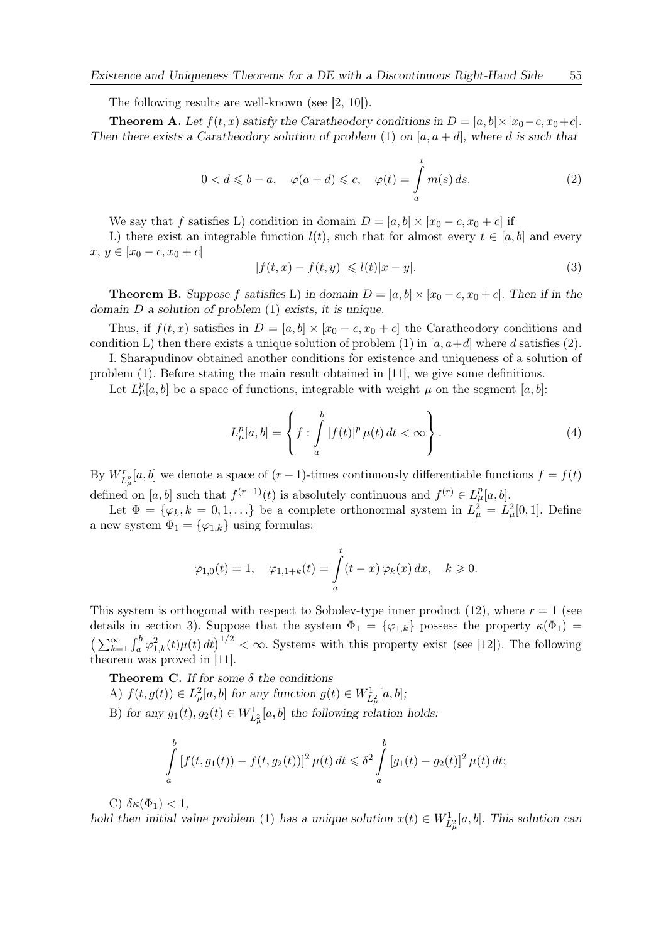The following results are well-known (see [2, 10]).

**Theorem A.** Let  $f(t, x)$  satisfy the Caratheodory conditions in  $D = [a, b] \times [x_0 - c, x_0 + c]$ . Then there exists a Caratheodory solution of problem (1) on  $[a, a + d]$ , where d is such that

$$
0 < d \leqslant b - a, \quad \varphi(a + d) \leqslant c, \quad \varphi(t) = \int_{a}^{t} m(s) \, ds. \tag{2}
$$

We say that f satisfies L) condition in domain  $D = [a, b] \times [x_0 - c, x_0 + c]$  if

L) there exist an integrable function  $l(t)$ , such that for almost every  $t \in [a, b]$  and every  $x, y \in [x_0 - c, x_0 + c]$ 

$$
|f(t,x) - f(t,y)| \leq l(t)|x - y|.\tag{3}
$$

**Theorem B.** Suppose f satisfies L) in domain  $D = [a, b] \times [x_0 - c, x_0 + c]$ . Then if in the domain  $D$  a solution of problem  $(1)$  exists, it is unique.

Thus, if  $f(t, x)$  satisfies in  $D = [a, b] \times [x_0 - c, x_0 + c]$  the Caratheodory conditions and condition L) then there exists a unique solution of problem (1) in  $[a, a+d]$  where d satisfies (2).

I. Sharapudinov obtained another conditions for existence and uniqueness of a solution of problem (1). Before stating the main result obtained in [11], we give some definitions.

Let  $L^p_\mu[a, b]$  be a space of functions, integrable with weight  $\mu$  on the segment  $[a, b]$ :

$$
L^p_\mu[a,b] = \left\{ f : \int_a^b |f(t)|^p \,\mu(t) \,dt < \infty \right\}.\tag{4}
$$

By  $W_{L^p_\mu}[a, b]$  we denote a space of  $(r-1)$ -times continuously differentiable functions  $f = f(t)$ defined on [a, b] such that  $f^{(r-1)}(t)$  is absolutely continuous and  $f^{(r)} \in L^p_\mu[a, b]$ .

Let  $\Phi = {\varphi_k, k = 0, 1, \ldots}$  be a complete orthonormal system in  $L^2_{\mu} = L^2_{\mu}[0, 1]$ . Define a new system  $\Phi_1 = {\varphi_{1,k}}$  using formulas:

$$
\varphi_{1,0}(t) = 1, \quad \varphi_{1,1+k}(t) = \int_a^t (t-x) \varphi_k(x) dx, \quad k \geq 0.
$$

This system is orthogonal with respect to Sobolev-type inner product (12), where  $r = 1$  (see details in section 3). Suppose that the system  $\Phi_1 = {\varphi_{1,k}}$  possess the property  $\kappa(\Phi_1)$  =  $\left(\sum_{k=1}^{\infty}\int_{a}^{b}\varphi_{1,k}^{2}(t)\mu(t)dt\right)^{1/2} < \infty$ . Systems with this property exist (see [12]). The following theorem was proved in [11].

**Theorem C.** If for some  $\delta$  the conditions

- A)  $f(t, g(t)) \in L^2_{\mu}[a, b]$  for any function  $g(t) \in W^1_{L^2_{\mu}}[a, b]$ ;
- B) for any  $g_1(t), g_2(t) \in W_{L^2_{\mu}}^1[a, b]$  the following relation holds:

$$
\int_{a}^{b} \left[ f(t, g_1(t)) - f(t, g_2(t)) \right]^2 \mu(t) dt \leq \delta^2 \int_{a}^{b} \left[ g_1(t) - g_2(t) \right]^2 \mu(t) dt;
$$

C)  $\delta \kappa(\Phi_1) < 1$ ,

hold then initial value problem (1) has a unique solution  $x(t) \in W_{L^2_{\mu}}^1[a, b]$ . This solution can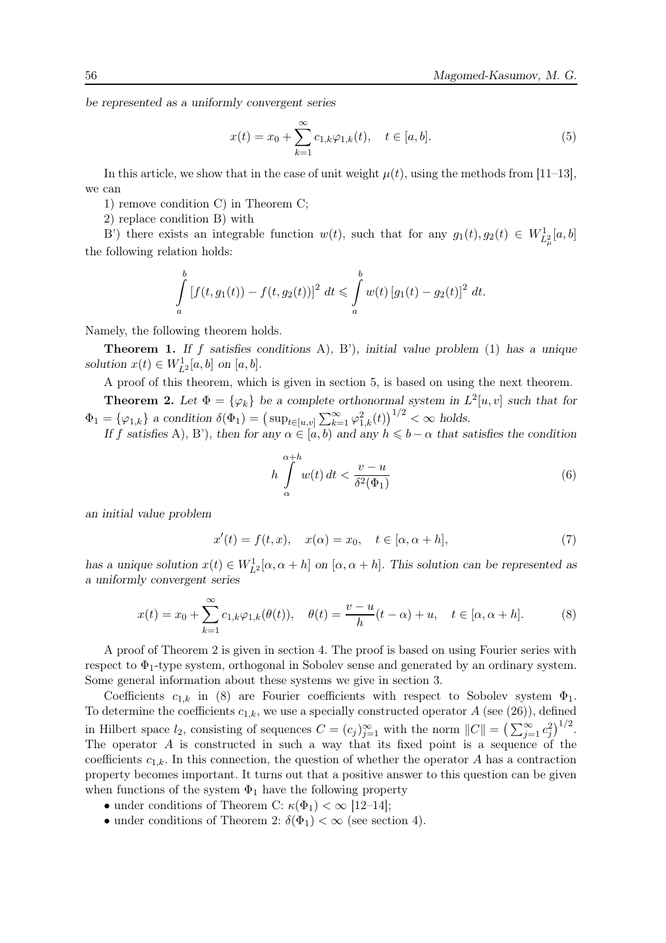be represented as a uniformly convergent series

$$
x(t) = x_0 + \sum_{k=1}^{\infty} c_{1,k} \varphi_{1,k}(t), \quad t \in [a, b].
$$
 (5)

In this article, we show that in the case of unit weight  $\mu(t)$ , using the methods from [11–13], we can

1) remove condition C) in Theorem C;

2) replace condition B) with

B') there exists an integrable function  $w(t)$ , such that for any  $g_1(t), g_2(t) \in W_{L^2_{\mu}}^1[a, b]$ the following relation holds:

$$
\int_{a}^{b} \left[ f(t, g_1(t)) - f(t, g_2(t)) \right]^2 dt \leq \int_{a}^{b} w(t) \left[ g_1(t) - g_2(t) \right]^2 dt.
$$

Namely, the following theorem holds.

**Theorem 1.** If f satisfies conditions A), B'), initial value problem  $(1)$  has a unique solution  $x(t) \in W_{L^2}^1[a, b]$  on  $[a, b]$ .

A proof of this theorem, which is given in section 5, is based on using the next theorem.

**Theorem 2.** Let  $\Phi = {\varphi_k}$  be a complete orthonormal system in  $L^2[u, v]$  such that for  $\Phi_1 = \{\varphi_{1,k}\}\$ a condition  $\delta(\Phi_1) = \left(\sup_{t \in [u,v]} \sum_{k=1}^{\infty} \varphi_{1,k}^2(t)\right)^{1/2} < \infty$  holds.

If f satisfies A), B'), then for any  $\alpha \in [a, b)$  and any  $h \leq b - \alpha$  that satisfies the condition

$$
h \int_{\alpha}^{\alpha+h} w(t) dt < \frac{v-u}{\delta^2(\Phi_1)}
$$
\n(6)

an initial value problem

$$
x'(t) = f(t, x), \quad x(\alpha) = x_0, \quad t \in [\alpha, \alpha + h], \tag{7}
$$

has a unique solution  $x(t) \in W_{L^2}^1[\alpha, \alpha + h]$  on  $[\alpha, \alpha + h]$ . This solution can be represented as a uniformly convergent series

$$
x(t) = x_0 + \sum_{k=1}^{\infty} c_{1,k} \varphi_{1,k}(\theta(t)), \quad \theta(t) = \frac{v - u}{h}(t - \alpha) + u, \quad t \in [\alpha, \alpha + h].
$$
 (8)

A proof of Theorem 2 is given in section 4. The proof is based on using Fourier series with respect to  $\Phi_1$ -type system, orthogonal in Sobolev sense and generated by an ordinary system. Some general information about these systems we give in section 3.

Coefficients  $c_{1,k}$  in (8) are Fourier coefficients with respect to Sobolev system  $\Phi_1$ . To determine the coefficients  $c_{1,k}$ , we use a specially constructed operator  $A$  (see (26)), defined in Hilbert space  $l_2$ , consisting of sequences  $C = (c_j)_{j=1}^{\infty}$  with the norm  $||C|| = (\sum_{j=1}^{\infty} c_j^2)^{1/2}$ . The operator A is constructed in such a way that its fixed point is a sequence of the coefficients  $c_{1,k}$ . In this connection, the question of whether the operator A has a contraction property becomes important. It turns out that a positive answer to this question can be given when functions of the system  $\Phi_1$  have the following property

- under conditions of Theorem C:  $\kappa(\Phi_1) < \infty$  [12–14];
- under conditions of Theorem 2:  $\delta(\Phi_1) < \infty$  (see section 4).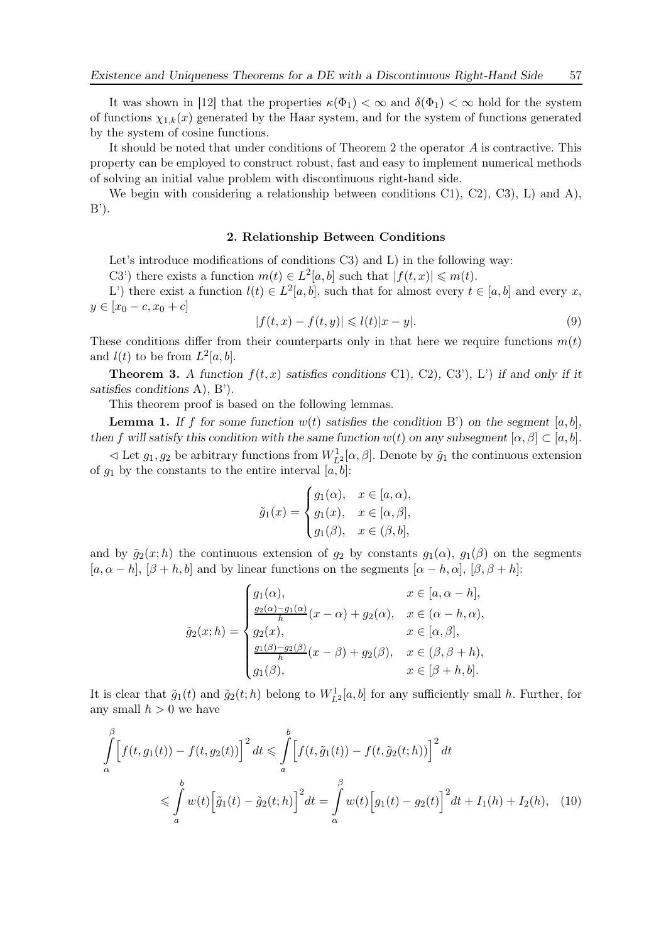It was shown in [12] that the properties  $\kappa(\Phi_1) < \infty$  and  $\delta(\Phi_1) < \infty$  hold for the system of functions  $\chi_{1,k}(x)$  generated by the Haar system, and for the system of functions generated by the system of cosine functions.

It should be noted that under conditions of Theorem 2 the operator A is contractive. This property can be employed to construct robust, fast and easy to implement numerical methods of solving an initial value problem with discontinuous right-hand side.

We begin with considering a relationship between conditions  $C1$ ,  $C2$ ,  $C3$ ,  $L$ ) and A),  $B$ <sup>'</sup>).

#### 2. Relationship Between Conditions

Let's introduce modifications of conditions C3) and L) in the following way:

C3') there exists a function  $m(t) \in L^2[a, b]$  such that  $|f(t,x)| \leq m(t)$ .

L') there exist a function  $l(t) \in L^2[a, b]$ , such that for almost every  $t \in [a, b]$  and every x,  $y \in [x_0 - c, x_0 + c]$ 

$$
|f(t,x) - f(t,y)| \leq l(t)|x - y|.\tag{9}
$$

These conditions differ from their counterparts only in that here we require functions  $m(t)$ and  $l(t)$  to be from  $L^2[a,b]$ .

**Theorem 3.** A function  $f(t, x)$  satisfies conditions C1), C2), C3'), L') if and only if it satisfies conditions A), B').

This theorem proof is based on the following lemmas.

**Lemma 1.** If f for some function  $w(t)$  satisfies the condition B') on the segment [a, b], then f will satisfy this condition with the same function  $w(t)$  on any subsegment  $[\alpha, \beta] \subset [a, b]$ .

 $\leq$  Let  $g_1, g_2$  be arbitrary functions from  $W_{L^2}^1[\alpha, \beta]$ . Denote by  $\tilde{g}_1$  the continuous extension of  $g_1$  by the constants to the entire interval  $[a, b]$ :

$$
\tilde{g}_1(x) = \begin{cases} g_1(\alpha), & x \in [a, \alpha), \\ g_1(x), & x \in [\alpha, \beta], \\ g_1(\beta), & x \in (\beta, b], \end{cases}
$$

and by  $\tilde{g}_2(x; h)$  the continuous extension of  $g_2$  by constants  $g_1(\alpha)$ ,  $g_1(\beta)$  on the segments  $[a, \alpha - h], [\beta + h, b]$  and by linear functions on the segments  $[\alpha - h, \alpha], [\beta, \beta + h]$ :

$$
\tilde{g}_2(x; h) = \begin{cases}\ng_1(\alpha), & x \in [a, \alpha - h], \\
\frac{g_2(\alpha) - g_1(\alpha)}{h}(x - \alpha) + g_2(\alpha), & x \in (\alpha - h, \alpha), \\
g_2(x), & x \in [\alpha, \beta], \\
\frac{g_1(\beta) - g_2(\beta)}{h}(x - \beta) + g_2(\beta), & x \in (\beta, \beta + h), \\
g_1(\beta), & x \in [\beta + h, b].\n\end{cases}
$$

It is clear that  $\tilde{g}_1(t)$  and  $\tilde{g}_2(t; h)$  belong to  $W_{L^2}^1[a, b]$  for any sufficiently small h. Further, for any small  $h > 0$  we have

$$
\int_{\alpha}^{\beta} \left[ f(t, g_1(t)) - f(t, g_2(t)) \right]^2 dt \leq \int_{a}^{b} \left[ f(t, \tilde{g}_1(t)) - f(t, \tilde{g}_2(t; h)) \right]^2 dt
$$
  

$$
\leq \int_{a}^{b} w(t) \left[ \tilde{g}_1(t) - \tilde{g}_2(t; h) \right]^2 dt = \int_{\alpha}^{\beta} w(t) \left[ g_1(t) - g_2(t) \right]^2 dt + I_1(h) + I_2(h), \quad (10)
$$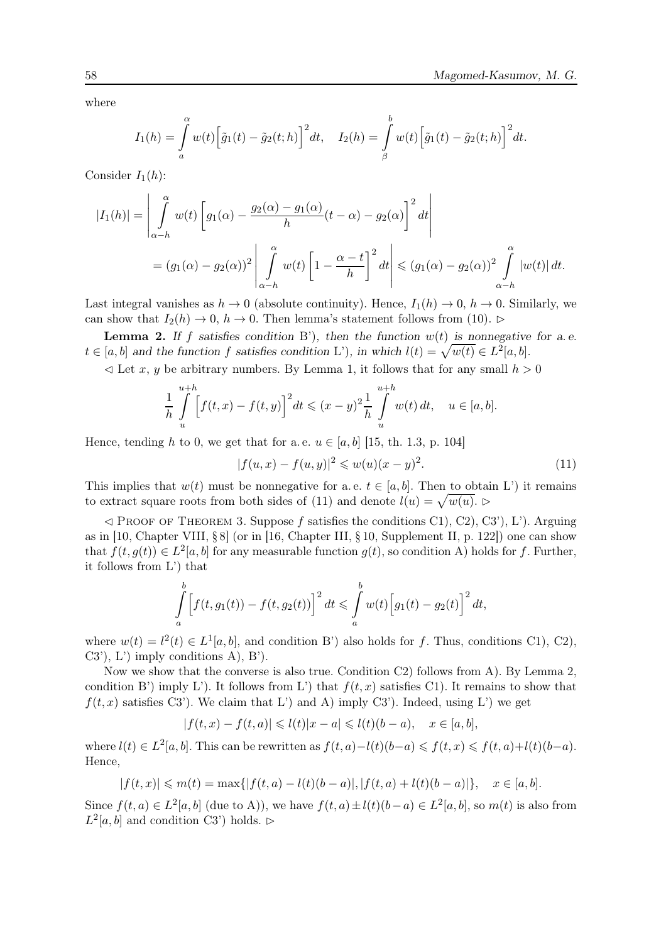where

$$
I_1(h) = \int_a^{\alpha} w(t) \Big[ \tilde{g}_1(t) - \tilde{g}_2(t; h) \Big]^2 dt, \quad I_2(h) = \int_{\beta}^b w(t) \Big[ \tilde{g}_1(t) - \tilde{g}_2(t; h) \Big]^2 dt.
$$

Consider  $I_1(h)$ :

$$
|I_1(h)| = \left| \int_{\alpha-h}^{\alpha} w(t) \left[ g_1(\alpha) - \frac{g_2(\alpha) - g_1(\alpha)}{h} (t - \alpha) - g_2(\alpha) \right]^2 dt \right|
$$
  
=  $(g_1(\alpha) - g_2(\alpha))^2 \left| \int_{\alpha-h}^{\alpha} w(t) \left[ 1 - \frac{\alpha - t}{h} \right]^2 dt \right| \le (g_1(\alpha) - g_2(\alpha))^2 \int_{\alpha-h}^{\alpha} |w(t)| dt.$ 

Last integral vanishes as  $h \to 0$  (absolute continuity). Hence,  $I_1(h) \to 0$ ,  $h \to 0$ . Similarly, we can show that  $I_2(h) \to 0$ ,  $h \to 0$ . Then lemma's statement follows from (10). ⊳

**Lemma 2.** If f satisfies condition B'), then the function  $w(t)$  is nonnegative for a.e.  $t \in [a, b]$  and the function f satisfies condition L'), in which  $l(t) = \sqrt{w(t)} \in L^2[a, b]$ .

 $\leq$  Let x, y be arbitrary numbers. By Lemma 1, it follows that for any small  $h > 0$ 

$$
\frac{1}{h} \int_{u}^{u+h} \left[ f(t,x) - f(t,y) \right]^2 dt \le (x-y)^2 \frac{1}{h} \int_{u}^{u+h} w(t) dt, \quad u \in [a,b].
$$

Hence, tending h to 0, we get that for a.e.  $u \in [a, b]$  [15, th. 1.3, p. 104]

$$
|f(u, x) - f(u, y)|^2 \leq w(u)(x - y)^2.
$$
 (11)

This implies that  $w(t)$  must be nonnegative for a. e.  $t \in [a, b]$ . Then to obtain L') it remains to extract square roots from both sides of (11) and denote  $l(u) = \sqrt{w(u)}$ .

 $\leq$  Proof of Theorem 3. Suppose f satisfies the conditions C1), C2), C3'), L'). Arguing as in [10, Chapter VIII, § 8] (or in [16, Chapter III, § 10, Supplement II, p. 122]) one can show that  $f(t, g(t)) \in L^2[a, b]$  for any measurable function  $g(t)$ , so condition A) holds for f. Further, it follows from L') that

$$
\int_{a}^{b} \left[ f(t, g_1(t)) - f(t, g_2(t)) \right]^2 dt \leq \int_{a}^{b} w(t) \left[ g_1(t) - g_2(t) \right]^2 dt,
$$

where  $w(t) = l^2(t) \in L^1[a, b]$ , and condition B') also holds for f. Thus, conditions C1), C2),  $(C3')$ ,  $L'$ ) imply conditions  $A$ ),  $B'$ ).

Now we show that the converse is also true. Condition C2) follows from A). By Lemma 2, condition B') imply L'). It follows from L') that  $f(t, x)$  satisfies C1). It remains to show that  $f(t, x)$  satisfies C3'). We claim that L') and A) imply C3'). Indeed, using L') we get

$$
|f(t,x)-f(t,a)| \leqslant l(t)|x-a| \leqslant l(t)(b-a), \quad x \in [a,b],
$$

where  $l(t) \in L^2[a, b]$ . This can be rewritten as  $f(t, a) - l(t)(b-a) \leqslant f(t, x) \leqslant f(t, a) + l(t)(b-a)$ . Hence,

$$
|f(t,x)| \leq m(t) = \max\{|f(t,a) - l(t)(b-a)|, |f(t,a) + l(t)(b-a)|\}, \quad x \in [a,b].
$$

Since  $f(t, a) \in L^2[a, b]$  (due to A)), we have  $f(t, a) \pm l(t)(b - a) \in L^2[a, b]$ , so  $m(t)$  is also from  $L^2[a, b]$  and condition C3') holds. ⊳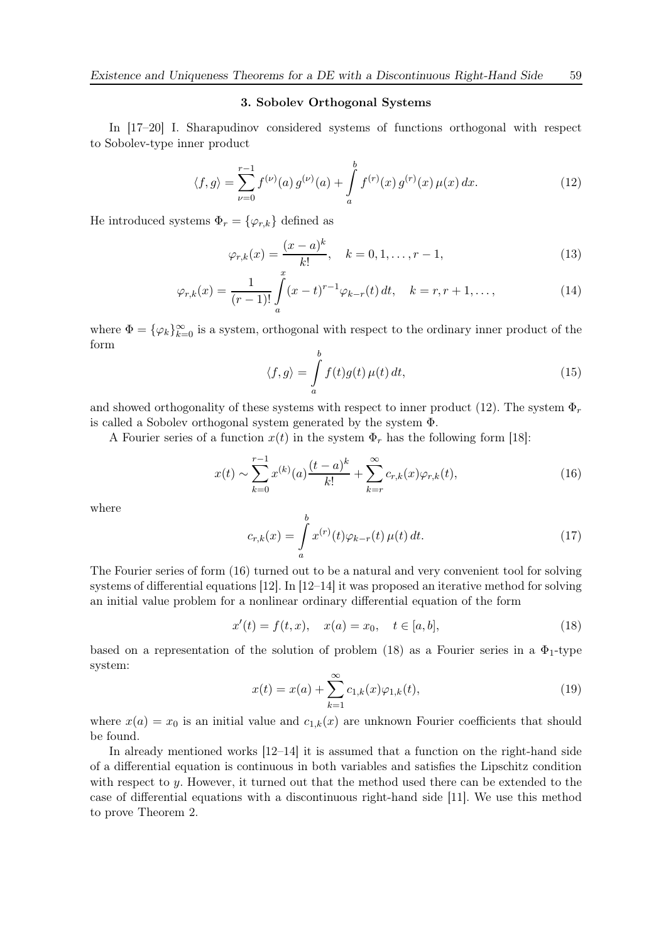### 3. Sobolev Orthogonal Systems

In [17–20] I. Sharapudinov considered systems of functions orthogonal with respect to Sobolev-type inner product

$$
\langle f, g \rangle = \sum_{\nu=0}^{r-1} f^{(\nu)}(a) g^{(\nu)}(a) + \int_{a}^{b} f^{(r)}(x) g^{(r)}(x) \mu(x) dx.
$$
 (12)

He introduced systems  $\Phi_r = {\varphi_{r,k}}$  defined as

$$
\varphi_{r,k}(x) = \frac{(x-a)^k}{k!}, \quad k = 0, 1, \dots, r-1,
$$
\n(13)

$$
\varphi_{r,k}(x) = \frac{1}{(r-1)!} \int_{a}^{x} (x-t)^{r-1} \varphi_{k-r}(t) dt, \quad k = r, r+1, \dots,
$$
\n(14)

where  $\Phi = {\varphi_k}_{k=0}^{\infty}$  is a system, orthogonal with respect to the ordinary inner product of the form

$$
\langle f, g \rangle = \int_{a}^{b} f(t)g(t) \,\mu(t) \, dt,\tag{15}
$$

and showed orthogonality of these systems with respect to inner product (12). The system  $\Phi_r$ is called a Sobolev orthogonal system generated by the system Φ.

A Fourier series of a function  $x(t)$  in the system  $\Phi_r$  has the following form [18]:

$$
x(t) \sim \sum_{k=0}^{r-1} x^{(k)}(a) \frac{(t-a)^k}{k!} + \sum_{k=r}^{\infty} c_{r,k}(x) \varphi_{r,k}(t),
$$
\n(16)

where

$$
c_{r,k}(x) = \int_{a}^{b} x^{(r)}(t)\varphi_{k-r}(t)\,\mu(t)\,dt.
$$
 (17)

The Fourier series of form (16) turned out to be a natural and very convenient tool for solving systems of differential equations [12]. In [12–14] it was proposed an iterative method for solving an initial value problem for a nonlinear ordinary differential equation of the form

$$
x'(t) = f(t, x), \quad x(a) = x_0, \quad t \in [a, b], \tag{18}
$$

based on a representation of the solution of problem (18) as a Fourier series in a  $\Phi_1$ -type system:

$$
x(t) = x(a) + \sum_{k=1}^{\infty} c_{1,k}(x)\varphi_{1,k}(t),
$$
\n(19)

where  $x(a) = x_0$  is an initial value and  $c_{1,k}(x)$  are unknown Fourier coefficients that should be found.

In already mentioned works [12–14] it is assumed that a function on the right-hand side of a differential equation is continuous in both variables and satisfies the Lipschitz condition with respect to y. However, it turned out that the method used there can be extended to the case of differential equations with a discontinuous right-hand side [11]. We use this method to prove Theorem 2.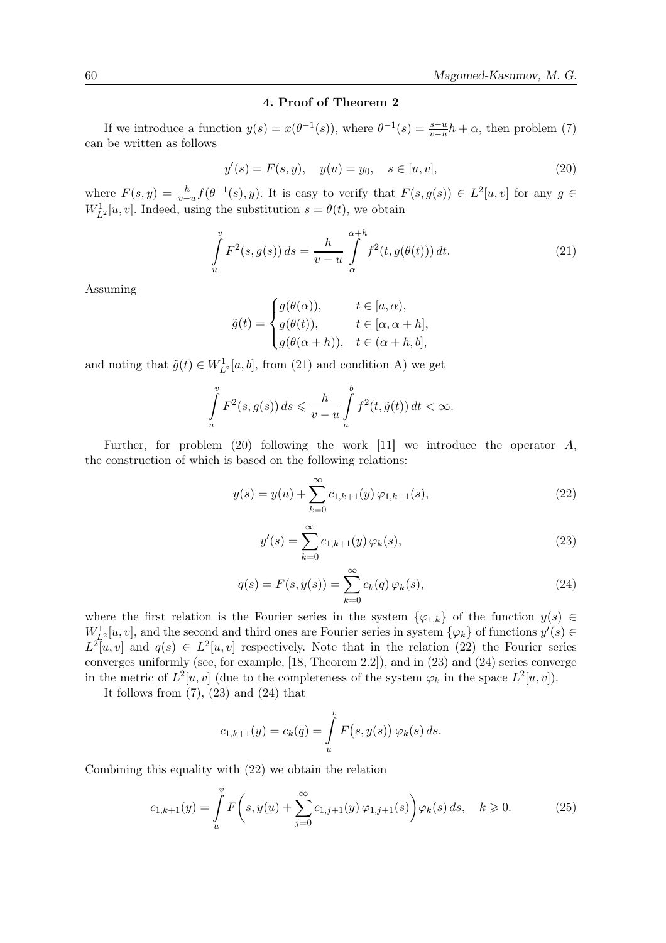## 4. Proof of Theorem 2

If we introduce a function  $y(s) = x(\theta^{-1}(s))$ , where  $\theta^{-1}(s) = \frac{s-u}{v-u}h + \alpha$ , then problem (7) can be written as follows

$$
y'(s) = F(s, y), \quad y(u) = y_0, \quad s \in [u, v], \tag{20}
$$

where  $F(s, y) = \frac{h}{v-u} f(\theta^{-1}(s), y)$ . It is easy to verify that  $F(s, g(s)) \in L^2[u, v]$  for any  $g \in$  $W_{L^2}^1[u, v]$ . Indeed, using the substitution  $s = \theta(t)$ , we obtain

$$
\int_{u}^{v} F^{2}(s, g(s)) ds = \frac{h}{v - u} \int_{\alpha}^{\alpha + h} f^{2}(t, g(\theta(t))) dt.
$$
\n(21)

Assuming

$$
\tilde{g}(t) = \begin{cases}\ng(\theta(\alpha)), & t \in [a, \alpha), \\
g(\theta(t)), & t \in [\alpha, \alpha + h], \\
g(\theta(\alpha + h)), & t \in (\alpha + h, b],\n\end{cases}
$$

and noting that  $\tilde{g}(t) \in W_{L^2}^1[a, b]$ , from (21) and condition A) we get

$$
\int_{u}^{v} F^{2}(s, g(s)) ds \leq \frac{h}{v-u} \int_{a}^{b} f^{2}(t, \tilde{g}(t)) dt < \infty.
$$

Further, for problem  $(20)$  following the work [11] we introduce the operator A, the construction of which is based on the following relations:

$$
y(s) = y(u) + \sum_{k=0}^{\infty} c_{1,k+1}(y) \varphi_{1,k+1}(s), \qquad (22)
$$

$$
y'(s) = \sum_{k=0}^{\infty} c_{1,k+1}(y) \,\varphi_k(s),\tag{23}
$$

$$
q(s) = F(s, y(s)) = \sum_{k=0}^{\infty} c_k(q) \, \varphi_k(s), \tag{24}
$$

where the first relation is the Fourier series in the system  $\{\varphi_{1,k}\}\,$  of the function  $y(s)\in\mathbb{R}$  $W_{L^2}^1[u,v]$ , and the second and third ones are Fourier series in system  $\{\varphi_k\}$  of functions  $y'(s) \in$  $L^2[u,v]$  and  $q(s) \in L^2[u,v]$  respectively. Note that in the relation (22) the Fourier series converges uniformly (see, for example, [18, Theorem 2.2]), and in (23) and (24) series converge in the metric of  $L^2[u, v]$  (due to the completeness of the system  $\varphi_k$  in the space  $L^2[u, v]$ ).

It follows from  $(7)$ ,  $(23)$  and  $(24)$  that

$$
c_{1,k+1}(y) = c_k(q) = \int_{u}^{v} F(s, y(s)) \varphi_k(s) ds.
$$

Combining this equality with (22) we obtain the relation

$$
c_{1,k+1}(y) = \int_{u}^{v} F\left(s, y(u) + \sum_{j=0}^{\infty} c_{1,j+1}(y) \varphi_{1,j+1}(s)\right) \varphi_k(s) ds, \quad k \ge 0.
$$
 (25)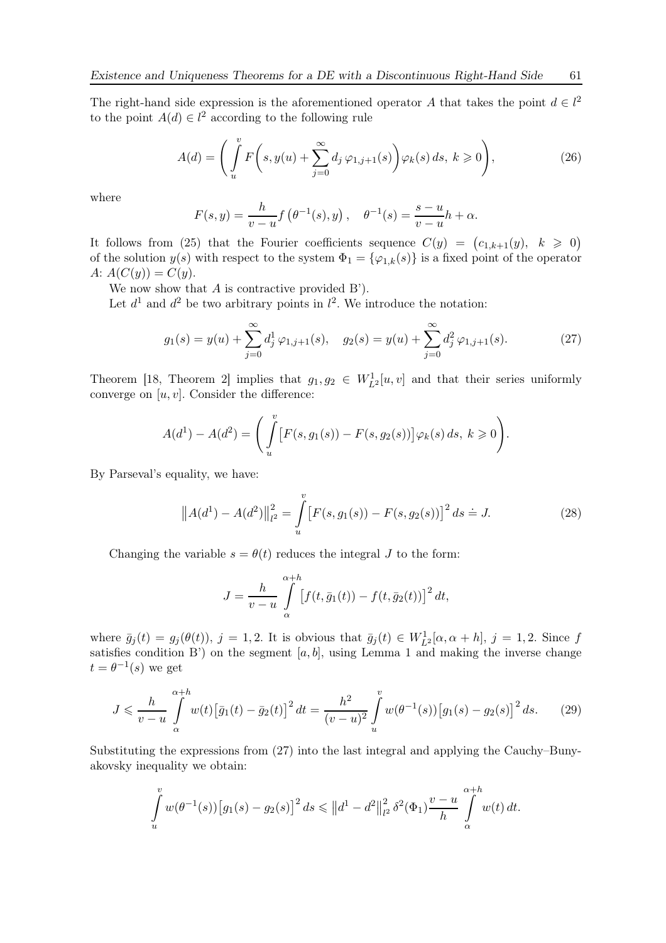The right-hand side expression is the aforementioned operator A that takes the point  $d \in l^2$ to the point  $A(d) \in l^2$  according to the following rule

$$
A(d) = \left(\int_{u}^{v} F\left(s, y(u) + \sum_{j=0}^{\infty} d_j \varphi_{1,j+1}(s)\right) \varphi_k(s) ds, \ k \geqslant 0\right),\tag{26}
$$

where

$$
F(s,y) = \frac{h}{v-u} f\left(\theta^{-1}(s), y\right), \quad \theta^{-1}(s) = \frac{s-u}{v-u} h + \alpha.
$$

It follows from (25) that the Fourier coefficients sequence  $C(y) = (c_{1,k+1}(y), k \geq 0)$ of the solution  $y(s)$  with respect to the system  $\Phi_1 = {\varphi_{1,k}(s)}$  is a fixed point of the operator A:  $A(C(y)) = C(y)$ .

We now show that  $A$  is contractive provided  $B'$ ).

Let  $d^1$  and  $d^2$  be two arbitrary points in  $l^2$ . We introduce the notation:

$$
g_1(s) = y(u) + \sum_{j=0}^{\infty} d_j^1 \varphi_{1,j+1}(s), \quad g_2(s) = y(u) + \sum_{j=0}^{\infty} d_j^2 \varphi_{1,j+1}(s).
$$
 (27)

Theorem [18, Theorem 2] implies that  $g_1, g_2 \in W_{L^2}^1[u, v]$  and that their series uniformly converge on  $[u, v]$ . Consider the difference:

$$
A(d^{1}) - A(d^{2}) = \left( \int_{u}^{v} \left[ F(s, g_{1}(s)) - F(s, g_{2}(s)) \right] \varphi_{k}(s) ds, k \ge 0 \right).
$$

By Parseval's equality, we have:

$$
||A(d^{1}) - A(d^{2})||_{l^{2}}^{2} = \int_{u}^{v} [F(s, g_{1}(s)) - F(s, g_{2}(s))]^{2} ds \doteq J.
$$
 (28)

Changing the variable  $s = \theta(t)$  reduces the integral J to the form:

$$
J = \frac{h}{v - u} \int_{\alpha}^{\alpha + h} \left[ f(t, \bar{g}_1(t)) - f(t, \bar{g}_2(t)) \right]^2 dt,
$$

where  $\bar{g}_j(t) = g_j(\theta(t))$ ,  $j = 1, 2$ . It is obvious that  $\bar{g}_j(t) \in W_{L^2}^1[\alpha, \alpha + h]$ ,  $j = 1, 2$ . Since f satisfies condition B') on the segment  $[a, b]$ , using Lemma 1 and making the inverse change  $t = \theta^{-1}(s)$  we get

$$
J \leqslant \frac{h}{v-u} \int_{\alpha}^{\alpha+h} w(t) \big[ \bar{g}_1(t) - \bar{g}_2(t) \big]^2 dt = \frac{h^2}{(v-u)^2} \int_{u}^{v} w(\theta^{-1}(s)) \big[ g_1(s) - g_2(s) \big]^2 ds. \tag{29}
$$

Substituting the expressions from (27) into the last integral and applying the Cauchy–Bunyakovsky inequality we obtain:

$$
\int_{u}^{v} w(\theta^{-1}(s)) [g_1(s) - g_2(s)]^2 ds \le ||d^1 - d^2||_{l^2}^2 \delta^2(\Phi_1) \frac{v - u}{h} \int_{\alpha}^{\alpha + h} w(t) dt.
$$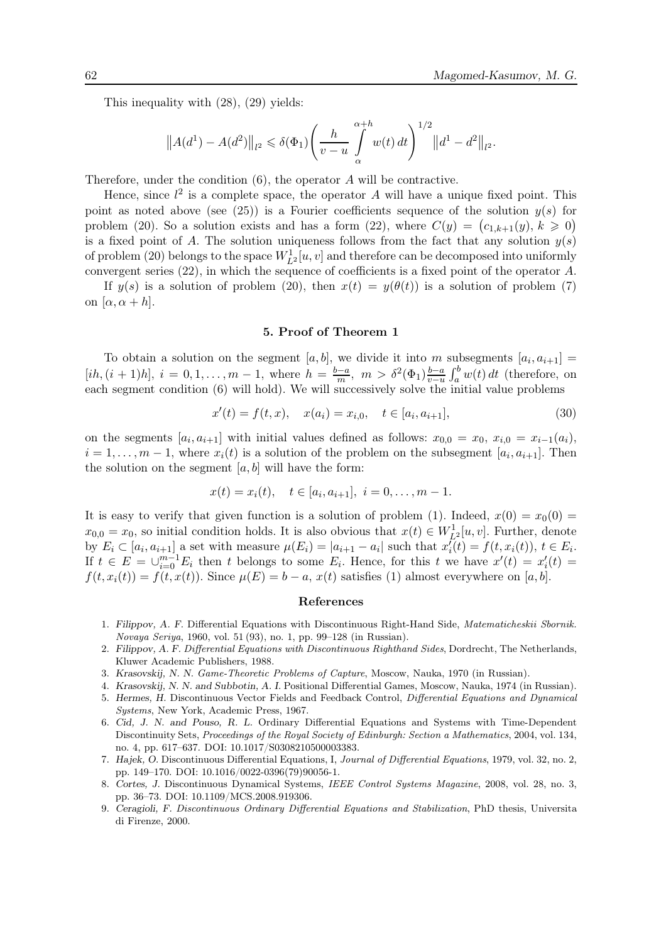This inequality with (28), (29) yields:

$$
||A(d^{1}) - A(d^{2})||_{l^{2}} \leq \delta(\Phi_{1}) \left(\frac{h}{v-u} \int_{\alpha}^{\alpha+h} w(t) dt\right)^{1/2} ||d^{1} - d^{2}||_{l^{2}}.
$$

Therefore, under the condition (6), the operator A will be contractive.

Hence, since  $l^2$  is a complete space, the operator A will have a unique fixed point. This point as noted above (see (25)) is a Fourier coefficients sequence of the solution  $y(s)$  for problem (20). So a solution exists and has a form (22), where  $C(y) = (c_{1,k+1}(y), k \ge 0)$ is a fixed point of A. The solution uniqueness follows from the fact that any solution  $y(s)$ of problem (20) belongs to the space  $W_{L^2}^1[u, v]$  and therefore can be decomposed into uniformly convergent series (22), in which the sequence of coefficients is a fixed point of the operator A.

If  $y(s)$  is a solution of problem (20), then  $x(t) = y(\theta(t))$  is a solution of problem (7) on  $[\alpha, \alpha + h]$ .

#### 5. Proof of Theorem 1

To obtain a solution on the segment [a, b], we divide it into m subsegments  $[a_i, a_{i+1}] =$  $[ih, (i + 1)h], i = 0, 1, ..., m - 1$ , where  $h = \frac{b-a}{m}, m > \delta^2(\Phi_1) \frac{b-a}{v-u}$  $\frac{b-a}{v-u}$   $\int_a^b w(t) dt$  (therefore, on each segment condition (6) will hold). We will successively solve the initial value problems

$$
x'(t) = f(t, x), \quad x(a_i) = x_{i,0}, \quad t \in [a_i, a_{i+1}], \tag{30}
$$

on the segments  $[a_i, a_{i+1}]$  with initial values defined as follows:  $x_{0,0} = x_0, x_{i,0} = x_{i-1}(a_i)$ ,  $i = 1, \ldots, m-1$ , where  $x_i(t)$  is a solution of the problem on the subsegment  $[a_i, a_{i+1}]$ . Then the solution on the segment  $[a, b]$  will have the form:

$$
x(t) = x_i(t), \quad t \in [a_i, a_{i+1}], \quad i = 0, \ldots, m-1.
$$

It is easy to verify that given function is a solution of problem (1). Indeed,  $x(0) = x_0(0) =$  $x_{0,0} = x_0$ , so initial condition holds. It is also obvious that  $x(t) \in W_{L^2}^1[u, v]$ . Further, denote by  $E_i \subset [a_i, a_{i+1}]$  a set with measure  $\mu(E_i) = |a_{i+1} - a_i|$  such that  $x_i'$  $i'_i(t) = f(t, x_i(t)), t \in E_i.$ If  $t \in E = \bigcup_{i=0}^{m-1} E_i$  then t belongs to some  $E_i$ . Hence, for this t we have  $x'(t) = x'_i$  $i(t) =$  $f(t, x_i(t)) = f(t, x(t))$ . Since  $\mu(E) = b - a$ ,  $x(t)$  satisfies (1) almost everywhere on [a, b].

#### References

- 1. Filippov, A. F. Differential Equations with Discontinuous Right-Hand Side, Matematicheskii Sbornik. Novaya Seriya, 1960, vol. 51 (93), no. 1, pp. 99–128 (in Russian).
- 2. Filippov, A. F. Differential Equations with Discontinuous Righthand Sides, Dordrecht, The Netherlands, Kluwer Academic Publishers, 1988.
- 3. Krasovskij, N. N. Game-Theoretic Problems of Capture, Moscow, Nauka, 1970 (in Russian).
- 4. Krasovskij, N. N. and Subbotin, A. I. Positional Differential Games, Moscow, Nauka, 1974 (in Russian).
- 5. Hermes, H. Discontinuous Vector Fields and Feedback Control, Differential Equations and Dynamical Systems, New York, Academic Press, 1967.
- 6. Cid, J. N. and Pouso, R. L. Ordinary Differential Equations and Systems with Time-Dependent Discontinuity Sets, Proceedings of the Royal Society of Edinburgh: Section a Mathematics, 2004, vol. 134, no. 4, pp. 617–637. DOI: 10.1017/S0308210500003383.
- 7. Hajek, O. Discontinuous Differential Equations, I, Journal of Differential Equations, 1979, vol. 32, no. 2, pp. 149–170. DOI: 10.1016/0022-0396(79)90056-1.
- 8. Cortes, J. Discontinuous Dynamical Systems, IEEE Control Systems Magazine, 2008, vol. 28, no. 3, pp. 36–73. DOI: 10.1109/MCS.2008.919306.
- 9. Ceragioli, F. Discontinuous Ordinary Differential Equations and Stabilization, PhD thesis, Universita di Firenze, 2000.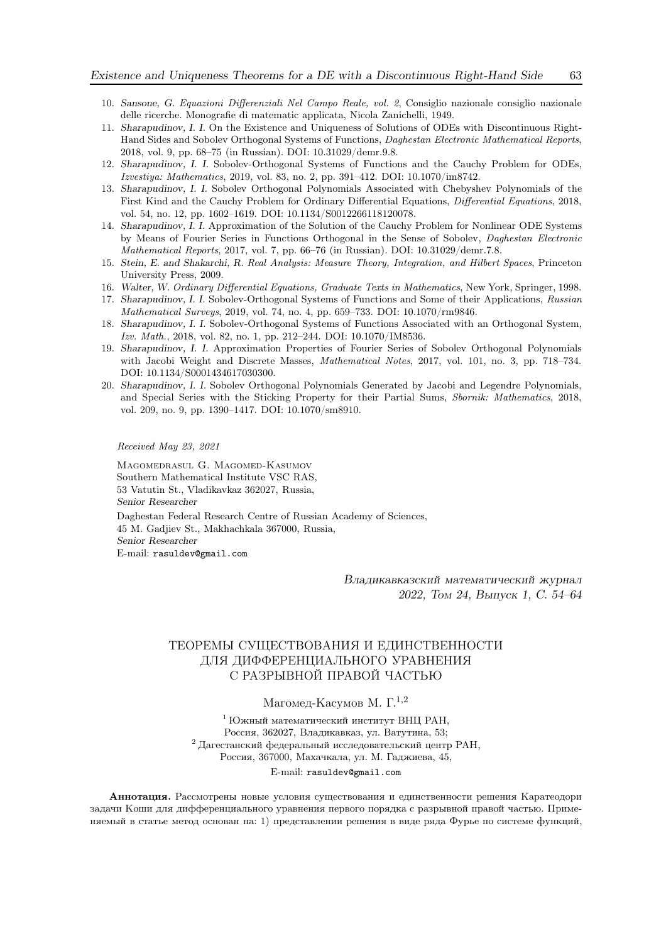- 10. Sansone, G. Equazioni Differenziali Nel Campo Reale, vol. 2, Consiglio nazionale consiglio nazionale delle ricerche. Monografie di matematic applicata, Nicola Zanichelli, 1949.
- 11. Sharapudinov, I. I. On the Existence and Uniqueness of Solutions of ODEs with Discontinuous Right-Hand Sides and Sobolev Orthogonal Systems of Functions, Daghestan Electronic Mathematical Reports, 2018, vol. 9, pp. 68–75 (in Russian). DOI: 10.31029/demr.9.8.
- 12. Sharapudinov, I. I. Sobolev-Orthogonal Systems of Functions and the Cauchy Problem for ODEs, Izvestiya: Mathematics, 2019, vol. 83, no. 2, pp. 391–412. DOI: 10.1070/im8742.
- 13. Sharapudinov, I. I. Sobolev Orthogonal Polynomials Associated with Chebyshev Polynomials of the First Kind and the Cauchy Problem for Ordinary Differential Equations, Differential Equations, 2018, vol. 54, no. 12, pp. 1602–1619. DOI: 10.1134/S0012266118120078.
- 14. Sharapudinov, I. I. Approximation of the Solution of the Cauchy Problem for Nonlinear ODE Systems by Means of Fourier Series in Functions Orthogonal in the Sense of Sobolev, Daghestan Electronic Mathematical Reports, 2017, vol. 7, pp. 66–76 (in Russian). DOI: 10.31029/demr.7.8.
- 15. Stein, E. and Shakarchi, R. Real Analysis: Measure Theory, Integration, and Hilbert Spaces, Princeton University Press, 2009.
- 16. Walter, W. Ordinary Differential Equations, Graduate Texts in Mathematics, New York, Springer, 1998.
- 17. Sharapudinov, I. I. Sobolev-Orthogonal Systems of Functions and Some of their Applications, Russian Mathematical Surveys, 2019, vol. 74, no. 4, pp. 659–733. DOI: 10.1070/rm9846.
- 18. Sharapudinov, I. I. Sobolev-Orthogonal Systems of Functions Associated with an Orthogonal System, Izv. Math., 2018, vol. 82, no. 1, pp. 212–244. DOI: 10.1070/IM8536.
- 19. Sharapudinov, I. I. Approximation Properties of Fourier Series of Sobolev Orthogonal Polynomials with Jacobi Weight and Discrete Masses, Mathematical Notes, 2017, vol. 101, no. 3, pp. 718–734. DOI: 10.1134/S0001434617030300.
- 20. Sharapudinov, I. I. Sobolev Orthogonal Polynomials Generated by Jacobi and Legendre Polynomials, and Special Series with the Sticking Property for their Partial Sums, Sbornik: Mathematics, 2018, vol. 209, no. 9, pp. 1390–1417. DOI: 10.1070/sm8910.

Received May 23, 2021

Magomedrasul G. Magomed-Kasumov Southern Mathematical Institute VSC RAS, 53 Vatutin St., Vladikavkaz 362027, Russia, Senior Researcher Daghestan Federal Research Centre of Russian Academy of Sciences, 45 M. Gadjiev St., Makhachkala 367000, Russia, Senior Researcher E-mail: rasuldev@gmail.com

> Владикавказский математический журнал 2022, Том 24, Выпуск 1, С. 54–64

# ТЕОРЕМЫ СУЩЕСТВОВАНИЯ И ЕДИНСТВЕННОСТИ ДЛЯ ДИФФЕРЕНЦИАЛЬНОГО УРАВНЕНИЯ С РАЗРЫВНОЙ ПРАВОЙ ЧАСТЬЮ

# Магомед-Касумов М. $\Gamma^{1,2}$

 $^{\rm 1}$  Южный математический институт ВНЦ РАН. Россия, 362027, Владикавказ, ул. Ватутина, 53;  $^2$  Дагестанский федеральный исследовательский центр РАН, Россия, 367000, Махачкала, ул. М. Гаджиева, 45,

#### E-mail: rasuldev@gmail.com

Аннотация. Рассмотрены новые условия существования и единственности решения Каратеодори задачи Коши для дифференциального уравнения первого порядка с разрывной правой частью. Применяемый в статье метод основан на: 1) представлении решения в виде ряда Фурье по системе функций,